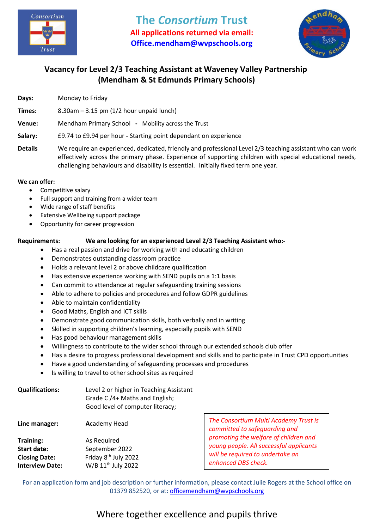



### **Vacancy for Level 2/3 Teaching Assistant at Waveney Valley Partnership (Mendham & St Edmunds Primary Schools)**

**Days:** Monday to Friday

**Times:** 8.30am – 3.15 pm (1/2 hour unpaid lunch)

- **Venue:** Mendham Primary SchoolMobility across the Trust
- **Salary:** £9.74 to £9.94 per hour **-** Starting point dependant on experience
- **Details** We require an experienced, dedicated, friendly and professional Level 2/3 teaching assistant who can work effectively across the primary phase. Experience of supporting children with special educational needs, challenging behaviours and disability is essential. Initially fixed term one year.

#### **We can offer:**

- Competitive salary
- Full support and training from a wider team
- Wide range of staff benefits
- Extensive Wellbeing support package
- Opportunity for career progression

#### **Requirements: We are looking for an experienced Level 2/3 Teaching Assistant who:-**

- Has a real passion and drive for working with and educating children
- Demonstrates outstanding classroom practice
- Holds a relevant level 2 or above childcare qualification
- Has extensive experience working with SEND pupils on a 1:1 basis
- Can commit to attendance at regular safeguarding training sessions
- Able to adhere to policies and procedures and follow GDPR guidelines
- Able to maintain confidentiality
- Good Maths, English and ICT skills
- Demonstrate good communication skills, both verbally and in writing
- Skilled in supporting children's learning, especially pupils with SEND
- Has good behaviour management skills
- Willingness to contribute to the wider school through our extended schools club offer
- Has a desire to progress professional development and skills and to participate in Trust CPD opportunities
- Have a good understanding of safeguarding processes and procedures
- Is willing to travel to other school sites as required

| <b>Qualifications:</b>                                                            | Level 2 or higher in Teaching Assistant<br>Grade C /4+ Maths and English;<br>Good level of computer literacy; |                                                                                            |
|-----------------------------------------------------------------------------------|---------------------------------------------------------------------------------------------------------------|--------------------------------------------------------------------------------------------|
| Line manager:                                                                     | <b>Academy Head</b>                                                                                           | The Consortium Mu<br>committed to safegi                                                   |
| Training:<br><b>Start date:</b><br><b>Closing Date:</b><br><b>Interview Date:</b> | As Required<br>September 2022<br>Friday 8 <sup>th</sup> July 2022<br>W/B 11 <sup>th</sup> July 2022           | promoting the welfd<br>young people. All su<br>will be required to u<br>enhanced DBS checl |

*The Consortium Multi Academy Trust is committed to safeguarding and promoting the welfare of children and young people. All successful applicants will be required to undertake an enhanced DBS check.*

For an application form and job description or further information, please contact Julie Rogers at the School office on 01379 852520, or at[: officemendham@wvpschools.org](mailto:officemendham@wvpschools.org)

# Where together excellence and pupils thrive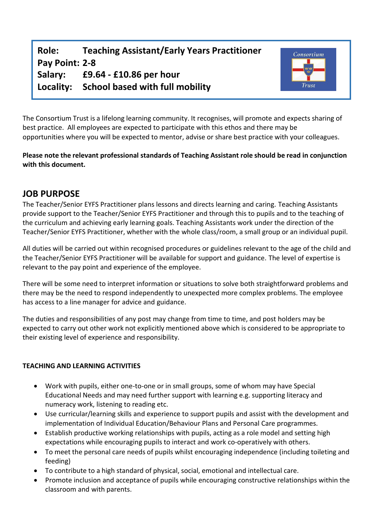**Role: Teaching Assistant/Early Years Practitioner Pay Point: 2-8 Salary: £9.64 - £10.86 per hour Locality: School based with full mobility**



The Consortium Trust is a lifelong learning community. It recognises, will promote and expects sharing of best practice. All employees are expected to participate with this ethos and there may be opportunities where you will be expected to mentor, advise or share best practice with your colleagues.

**Please note the relevant professional standards of Teaching Assistant role should be read in conjunction with this document.**

## **JOB PURPOSE**

The Teacher/Senior EYFS Practitioner plans lessons and directs learning and caring. Teaching Assistants provide support to the Teacher/Senior EYFS Practitioner and through this to pupils and to the teaching of the curriculum and achieving early learning goals. Teaching Assistants work under the direction of the Teacher/Senior EYFS Practitioner, whether with the whole class/room, a small group or an individual pupil.

All duties will be carried out within recognised procedures or guidelines relevant to the age of the child and the Teacher/Senior EYFS Practitioner will be available for support and guidance. The level of expertise is relevant to the pay point and experience of the employee.

There will be some need to interpret information or situations to solve both straightforward problems and there may be the need to respond independently to unexpected more complex problems. The employee has access to a line manager for advice and guidance.

The duties and responsibilities of any post may change from time to time, and post holders may be expected to carry out other work not explicitly mentioned above which is considered to be appropriate to their existing level of experience and responsibility.

### **TEACHING AND LEARNING ACTIVITIES**

- Work with pupils, either one-to-one or in small groups, some of whom may have Special Educational Needs and may need further support with learning e.g. supporting literacy and numeracy work, listening to reading etc.
- Use curricular/learning skills and experience to support pupils and assist with the development and implementation of Individual Education/Behaviour Plans and Personal Care programmes.
- Establish productive working relationships with pupils, acting as a role model and setting high expectations while encouraging pupils to interact and work co-operatively with others.
- To meet the personal care needs of pupils whilst encouraging independence (including toileting and feeding)
- To contribute to a high standard of physical, social, emotional and intellectual care.
- Promote inclusion and acceptance of pupils while encouraging constructive relationships within the classroom and with parents.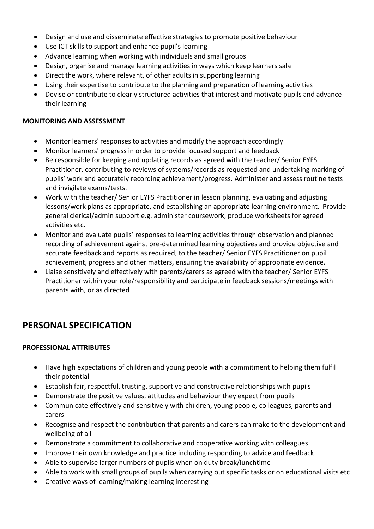- Design and use and disseminate effective strategies to promote positive behaviour
- Use ICT skills to support and enhance pupil's learning
- Advance learning when working with individuals and small groups
- Design, organise and manage learning activities in ways which keep learners safe
- Direct the work, where relevant, of other adults in supporting learning
- Using their expertise to contribute to the planning and preparation of learning activities
- Devise or contribute to clearly structured activities that interest and motivate pupils and advance their learning

#### **MONITORING AND ASSESSMENT**

- Monitor learners' responses to activities and modify the approach accordingly
- Monitor learners' progress in order to provide focused support and feedback
- Be responsible for keeping and updating records as agreed with the teacher/ Senior EYFS Practitioner, contributing to reviews of systems/records as requested and undertaking marking of pupils' work and accurately recording achievement/progress. Administer and assess routine tests and invigilate exams/tests.
- Work with the teacher/ Senior EYFS Practitioner in lesson planning, evaluating and adjusting lessons/work plans as appropriate, and establishing an appropriate learning environment. Provide general clerical/admin support e.g. administer coursework, produce worksheets for agreed activities etc.
- Monitor and evaluate pupils' responses to learning activities through observation and planned recording of achievement against pre-determined learning objectives and provide objective and accurate feedback and reports as required, to the teacher/ Senior EYFS Practitioner on pupil achievement, progress and other matters, ensuring the availability of appropriate evidence.
- Liaise sensitively and effectively with parents/carers as agreed with the teacher/ Senior EYFS Practitioner within your role/responsibility and participate in feedback sessions/meetings with parents with, or as directed

# **PERSONAL SPECIFICATION**

### **PROFESSIONAL ATTRIBUTES**

- Have high expectations of children and young people with a commitment to helping them fulfil their potential
- Establish fair, respectful, trusting, supportive and constructive relationships with pupils
- Demonstrate the positive values, attitudes and behaviour they expect from pupils
- Communicate effectively and sensitively with children, young people, colleagues, parents and carers
- Recognise and respect the contribution that parents and carers can make to the development and wellbeing of all
- Demonstrate a commitment to collaborative and cooperative working with colleagues
- Improve their own knowledge and practice including responding to advice and feedback
- Able to supervise larger numbers of pupils when on duty break/lunchtime
- Able to work with small groups of pupils when carrying out specific tasks or on educational visits etc
- Creative ways of learning/making learning interesting